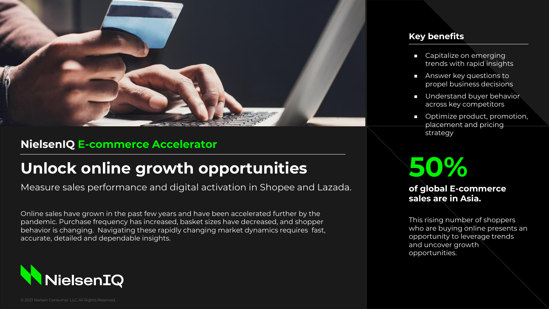

### **NielsenIQ E-commerce Accelerator**

## **Unlock online growth opportunities**

Measure sales performance and digital activation in Shopee and Lazada.

Online sales have grown in the past few years and have been accelerated further by the pandemic. Purchase frequency has increased, basket sizes have decreased, and shopper behavior is changing. Navigating these rapidly changing market dynamics requires fast, accurate, detailed and dependable insights.



#### **Key benefits**

- Capitalize on emerging trends with rapid insights
- Answer key questions to propel business decisions
- Understand buyer behavior across key competitors
- Optimize product, promotion, placement and pricing strategy

# **50%**

### **of global E-commerce sales are in Asia.**

This rising number of shoppers who are buying online presents an opportunity to leverage trends and uncover growth opportunities.